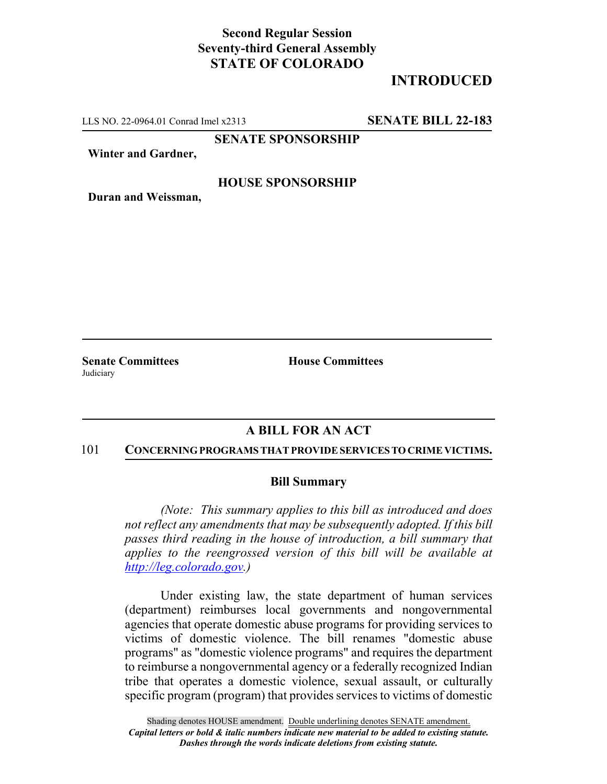# **Second Regular Session Seventy-third General Assembly STATE OF COLORADO**

# **INTRODUCED**

LLS NO. 22-0964.01 Conrad Imel x2313 **SENATE BILL 22-183**

**SENATE SPONSORSHIP**

**Winter and Gardner,**

## **HOUSE SPONSORSHIP**

**Duran and Weissman,**

**Judiciary** 

**Senate Committees House Committees** 

## **A BILL FOR AN ACT**

#### 101 **CONCERNING PROGRAMS THAT PROVIDE SERVICES TO CRIME VICTIMS.**

### **Bill Summary**

*(Note: This summary applies to this bill as introduced and does not reflect any amendments that may be subsequently adopted. If this bill passes third reading in the house of introduction, a bill summary that applies to the reengrossed version of this bill will be available at http://leg.colorado.gov.)*

Under existing law, the state department of human services (department) reimburses local governments and nongovernmental agencies that operate domestic abuse programs for providing services to victims of domestic violence. The bill renames "domestic abuse programs" as "domestic violence programs" and requires the department to reimburse a nongovernmental agency or a federally recognized Indian tribe that operates a domestic violence, sexual assault, or culturally specific program (program) that provides services to victims of domestic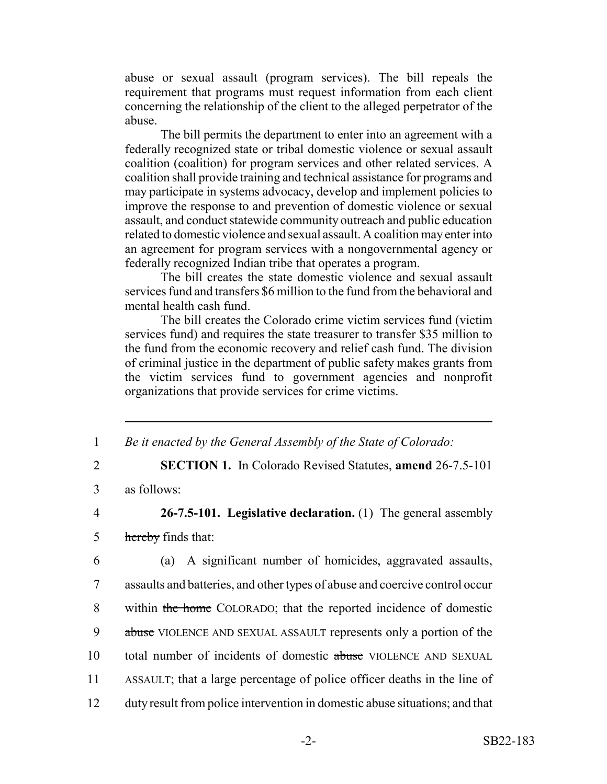abuse or sexual assault (program services). The bill repeals the requirement that programs must request information from each client concerning the relationship of the client to the alleged perpetrator of the abuse.

The bill permits the department to enter into an agreement with a federally recognized state or tribal domestic violence or sexual assault coalition (coalition) for program services and other related services. A coalition shall provide training and technical assistance for programs and may participate in systems advocacy, develop and implement policies to improve the response to and prevention of domestic violence or sexual assault, and conduct statewide community outreach and public education related to domestic violence and sexual assault. A coalition may enter into an agreement for program services with a nongovernmental agency or federally recognized Indian tribe that operates a program.

The bill creates the state domestic violence and sexual assault services fund and transfers \$6 million to the fund from the behavioral and mental health cash fund.

The bill creates the Colorado crime victim services fund (victim services fund) and requires the state treasurer to transfer \$35 million to the fund from the economic recovery and relief cash fund. The division of criminal justice in the department of public safety makes grants from the victim services fund to government agencies and nonprofit organizations that provide services for crime victims.

1 *Be it enacted by the General Assembly of the State of Colorado:*

2 **SECTION 1.** In Colorado Revised Statutes, **amend** 26-7.5-101

3 as follows:

# 4 **26-7.5-101. Legislative declaration.** (1) The general assembly 5 hereby finds that:

 (a) A significant number of homicides, aggravated assaults, assaults and batteries, and other types of abuse and coercive control occur 8 within the home COLORADO; that the reported incidence of domestic 9 abuse VIOLENCE AND SEXUAL ASSAULT represents only a portion of the total number of incidents of domestic abuse VIOLENCE AND SEXUAL ASSAULT; that a large percentage of police officer deaths in the line of duty result from police intervention in domestic abuse situations; and that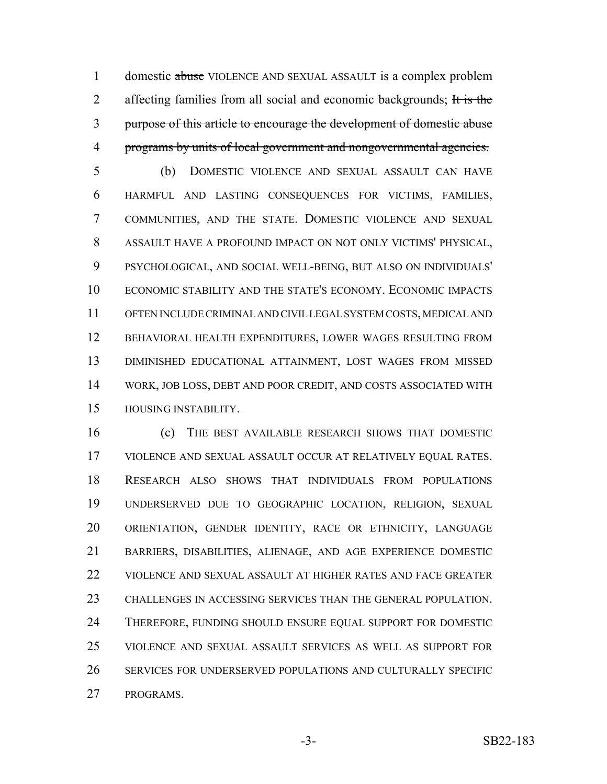1 domestic abuse VIOLENCE AND SEXUAL ASSAULT is a complex problem 2 affecting families from all social and economic backgrounds; It is the purpose of this article to encourage the development of domestic abuse programs by units of local government and nongovernmental agencies.

 (b) DOMESTIC VIOLENCE AND SEXUAL ASSAULT CAN HAVE HARMFUL AND LASTING CONSEQUENCES FOR VICTIMS, FAMILIES, COMMUNITIES, AND THE STATE. DOMESTIC VIOLENCE AND SEXUAL ASSAULT HAVE A PROFOUND IMPACT ON NOT ONLY VICTIMS' PHYSICAL, PSYCHOLOGICAL, AND SOCIAL WELL-BEING, BUT ALSO ON INDIVIDUALS' ECONOMIC STABILITY AND THE STATE'S ECONOMY. ECONOMIC IMPACTS OFTEN INCLUDE CRIMINAL AND CIVIL LEGAL SYSTEM COSTS, MEDICAL AND BEHAVIORAL HEALTH EXPENDITURES, LOWER WAGES RESULTING FROM DIMINISHED EDUCATIONAL ATTAINMENT, LOST WAGES FROM MISSED WORK, JOB LOSS, DEBT AND POOR CREDIT, AND COSTS ASSOCIATED WITH HOUSING INSTABILITY.

 (c) THE BEST AVAILABLE RESEARCH SHOWS THAT DOMESTIC VIOLENCE AND SEXUAL ASSAULT OCCUR AT RELATIVELY EQUAL RATES. RESEARCH ALSO SHOWS THAT INDIVIDUALS FROM POPULATIONS UNDERSERVED DUE TO GEOGRAPHIC LOCATION, RELIGION, SEXUAL ORIENTATION, GENDER IDENTITY, RACE OR ETHNICITY, LANGUAGE BARRIERS, DISABILITIES, ALIENAGE, AND AGE EXPERIENCE DOMESTIC VIOLENCE AND SEXUAL ASSAULT AT HIGHER RATES AND FACE GREATER CHALLENGES IN ACCESSING SERVICES THAN THE GENERAL POPULATION. THEREFORE, FUNDING SHOULD ENSURE EQUAL SUPPORT FOR DOMESTIC VIOLENCE AND SEXUAL ASSAULT SERVICES AS WELL AS SUPPORT FOR SERVICES FOR UNDERSERVED POPULATIONS AND CULTURALLY SPECIFIC PROGRAMS.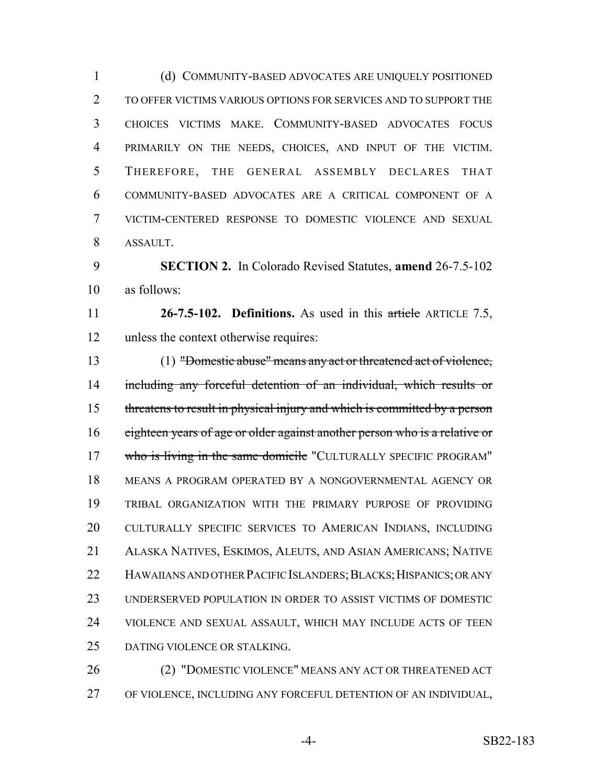(d) COMMUNITY-BASED ADVOCATES ARE UNIQUELY POSITIONED TO OFFER VICTIMS VARIOUS OPTIONS FOR SERVICES AND TO SUPPORT THE CHOICES VICTIMS MAKE. COMMUNITY-BASED ADVOCATES FOCUS PRIMARILY ON THE NEEDS, CHOICES, AND INPUT OF THE VICTIM. THEREFORE, THE GENERAL ASSEMBLY DECLARES THAT COMMUNITY-BASED ADVOCATES ARE A CRITICAL COMPONENT OF A VICTIM-CENTERED RESPONSE TO DOMESTIC VIOLENCE AND SEXUAL ASSAULT.

 **SECTION 2.** In Colorado Revised Statutes, **amend** 26-7.5-102 as follows:

 **26-7.5-102. Definitions.** As used in this article ARTICLE 7.5, unless the context otherwise requires:

 (1) "Domestic abuse" means any act or threatened act of violence, including any forceful detention of an individual, which results or threatens to result in physical injury and which is committed by a person 16 eighteen years of age or older against another person who is a relative or 17 who is living in the same domicile "CULTURALLY SPECIFIC PROGRAM" MEANS A PROGRAM OPERATED BY A NONGOVERNMENTAL AGENCY OR TRIBAL ORGANIZATION WITH THE PRIMARY PURPOSE OF PROVIDING CULTURALLY SPECIFIC SERVICES TO AMERICAN INDIANS, INCLUDING ALASKA NATIVES, ESKIMOS, ALEUTS, AND ASIAN AMERICANS; NATIVE 22 HAWAIIANS AND OTHER PACIFIC ISLANDERS; BLACKS; HISPANICS; OR ANY UNDERSERVED POPULATION IN ORDER TO ASSIST VICTIMS OF DOMESTIC VIOLENCE AND SEXUAL ASSAULT, WHICH MAY INCLUDE ACTS OF TEEN DATING VIOLENCE OR STALKING.

 (2) "DOMESTIC VIOLENCE" MEANS ANY ACT OR THREATENED ACT OF VIOLENCE, INCLUDING ANY FORCEFUL DETENTION OF AN INDIVIDUAL,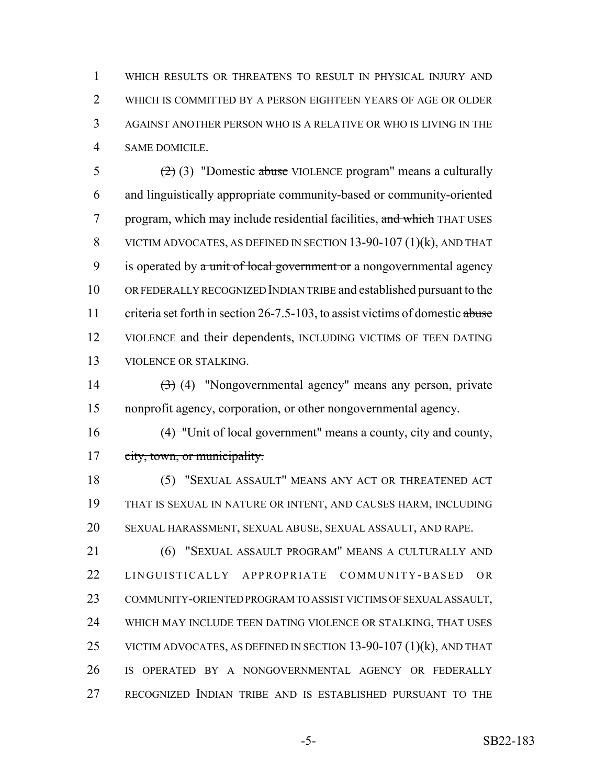WHICH RESULTS OR THREATENS TO RESULT IN PHYSICAL INJURY AND WHICH IS COMMITTED BY A PERSON EIGHTEEN YEARS OF AGE OR OLDER AGAINST ANOTHER PERSON WHO IS A RELATIVE OR WHO IS LIVING IN THE SAME DOMICILE.

 $(2)(3)$  "Domestic abuse VIOLENCE program" means a culturally and linguistically appropriate community-based or community-oriented 7 program, which may include residential facilities, and which THAT USES VICTIM ADVOCATES, AS DEFINED IN SECTION 13-90-107 (1)(k), AND THAT 9 is operated by a unit of local government or a nongovernmental agency OR FEDERALLY RECOGNIZED INDIAN TRIBE and established pursuant to the 11 criteria set forth in section 26-7.5-103, to assist victims of domestic abuse VIOLENCE and their dependents, INCLUDING VICTIMS OF TEEN DATING VIOLENCE OR STALKING.

14  $(3)$  (4) "Nongovernmental agency" means any person, private nonprofit agency, corporation, or other nongovernmental agency.

 (4) "Unit of local government" means a county, city and county, 17 eity, town, or municipality.

 (5) "SEXUAL ASSAULT" MEANS ANY ACT OR THREATENED ACT THAT IS SEXUAL IN NATURE OR INTENT, AND CAUSES HARM, INCLUDING SEXUAL HARASSMENT, SEXUAL ABUSE, SEXUAL ASSAULT, AND RAPE.

 (6) "SEXUAL ASSAULT PROGRAM" MEANS A CULTURALLY AND LINGUISTICALLY APPROPRIATE COMMUNITY -BASED OR COMMUNITY-ORIENTED PROGRAM TO ASSIST VICTIMS OF SEXUAL ASSAULT, WHICH MAY INCLUDE TEEN DATING VIOLENCE OR STALKING, THAT USES 25 VICTIM ADVOCATES, AS DEFINED IN SECTION 13-90-107 (1)(k), AND THAT IS OPERATED BY A NONGOVERNMENTAL AGENCY OR FEDERALLY RECOGNIZED INDIAN TRIBE AND IS ESTABLISHED PURSUANT TO THE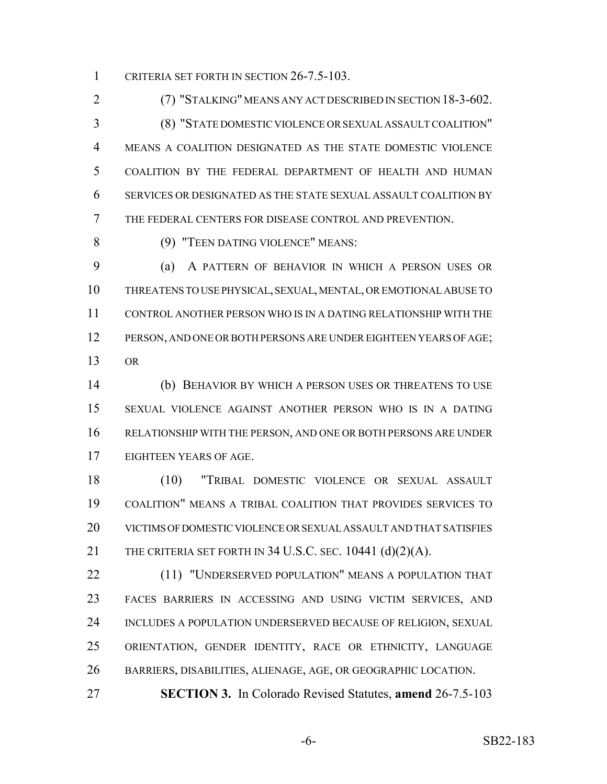1 CRITERIA SET FORTH IN SECTION 26-7.5-103.

 (7) "STALKING" MEANS ANY ACT DESCRIBED IN SECTION 18-3-602. (8) "STATE DOMESTIC VIOLENCE OR SEXUAL ASSAULT COALITION" MEANS A COALITION DESIGNATED AS THE STATE DOMESTIC VIOLENCE COALITION BY THE FEDERAL DEPARTMENT OF HEALTH AND HUMAN SERVICES OR DESIGNATED AS THE STATE SEXUAL ASSAULT COALITION BY THE FEDERAL CENTERS FOR DISEASE CONTROL AND PREVENTION.

(9) "TEEN DATING VIOLENCE" MEANS:

 (a) A PATTERN OF BEHAVIOR IN WHICH A PERSON USES OR THREATENS TO USE PHYSICAL, SEXUAL, MENTAL, OR EMOTIONAL ABUSE TO CONTROL ANOTHER PERSON WHO IS IN A DATING RELATIONSHIP WITH THE PERSON, AND ONE OR BOTH PERSONS ARE UNDER EIGHTEEN YEARS OF AGE; OR

 (b) BEHAVIOR BY WHICH A PERSON USES OR THREATENS TO USE SEXUAL VIOLENCE AGAINST ANOTHER PERSON WHO IS IN A DATING RELATIONSHIP WITH THE PERSON, AND ONE OR BOTH PERSONS ARE UNDER EIGHTEEN YEARS OF AGE.

 (10) "TRIBAL DOMESTIC VIOLENCE OR SEXUAL ASSAULT COALITION" MEANS A TRIBAL COALITION THAT PROVIDES SERVICES TO VICTIMS OF DOMESTIC VIOLENCE OR SEXUAL ASSAULT AND THAT SATISFIES 21 THE CRITERIA SET FORTH IN 34 U.S.C. SEC. 10441 (d)(2)(A).

22 (11) "UNDERSERVED POPULATION" MEANS A POPULATION THAT FACES BARRIERS IN ACCESSING AND USING VICTIM SERVICES, AND 24 INCLUDES A POPULATION UNDERSERVED BECAUSE OF RELIGION, SEXUAL ORIENTATION, GENDER IDENTITY, RACE OR ETHNICITY, LANGUAGE BARRIERS, DISABILITIES, ALIENAGE, AGE, OR GEOGRAPHIC LOCATION.

**SECTION 3.** In Colorado Revised Statutes, **amend** 26-7.5-103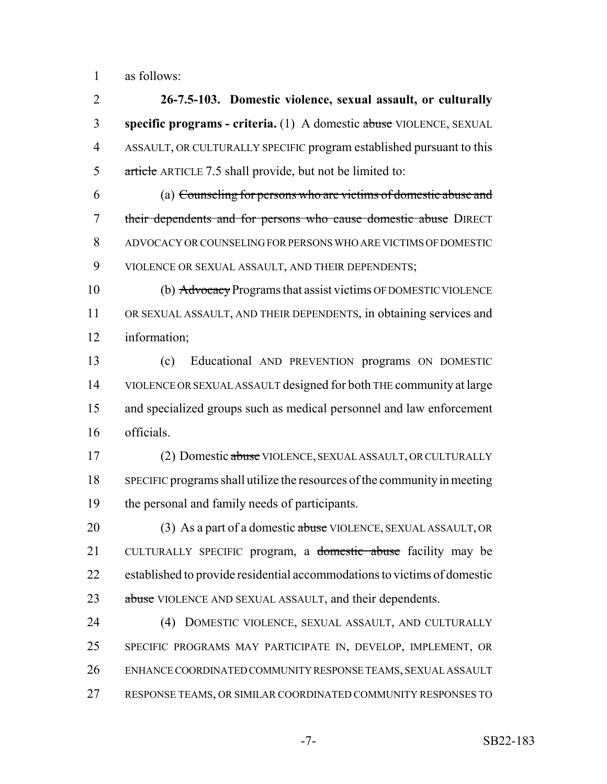as follows:

 **26-7.5-103. Domestic violence, sexual assault, or culturally specific programs - criteria.** (1) A domestic abuse VIOLENCE, SEXUAL ASSAULT, OR CULTURALLY SPECIFIC program established pursuant to this 5 article ARTICLE 7.5 shall provide, but not be limited to:

 (a) Counseling for persons who are victims of domestic abuse and 7 their dependents and for persons who cause domestic abuse DIRECT ADVOCACY OR COUNSELING FOR PERSONS WHO ARE VICTIMS OF DOMESTIC VIOLENCE OR SEXUAL ASSAULT, AND THEIR DEPENDENTS;

 (b) Advocacy Programs that assist victims OF DOMESTIC VIOLENCE OR SEXUAL ASSAULT, AND THEIR DEPENDENTS, in obtaining services and information;

 (c) Educational AND PREVENTION programs ON DOMESTIC VIOLENCE OR SEXUAL ASSAULT designed for both THE community at large and specialized groups such as medical personnel and law enforcement officials.

17 (2) Domestic abuse VIOLENCE, SEXUAL ASSAULT, OR CULTURALLY SPECIFIC programs shall utilize the resources of the community in meeting the personal and family needs of participants.

20 (3) As a part of a domestic abuse VIOLENCE, SEXUAL ASSAULT, OR 21 CULTURALLY SPECIFIC program, a <del>domestic abuse</del> facility may be established to provide residential accommodations to victims of domestic 23 abuse VIOLENCE AND SEXUAL ASSAULT, and their dependents.

 (4) DOMESTIC VIOLENCE, SEXUAL ASSAULT, AND CULTURALLY SPECIFIC PROGRAMS MAY PARTICIPATE IN, DEVELOP, IMPLEMENT, OR ENHANCE COORDINATED COMMUNITY RESPONSE TEAMS, SEXUAL ASSAULT RESPONSE TEAMS, OR SIMILAR COORDINATED COMMUNITY RESPONSES TO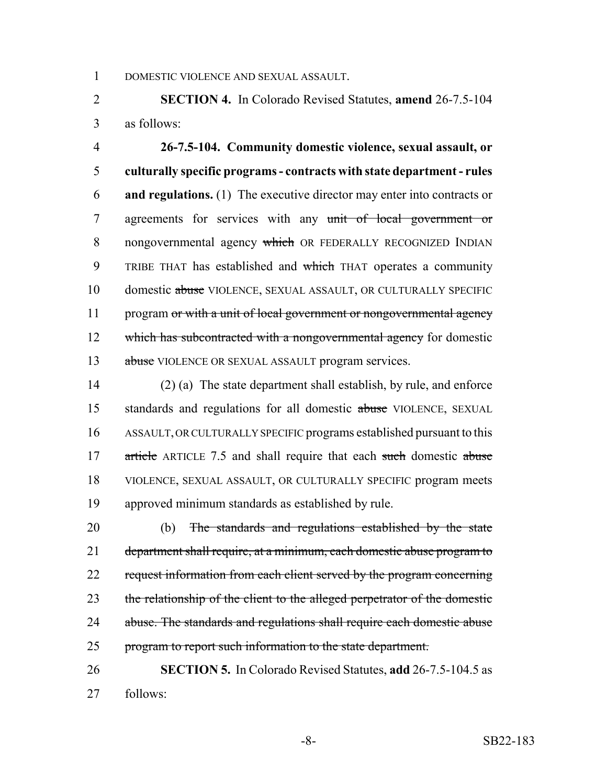1 DOMESTIC VIOLENCE AND SEXUAL ASSAULT.

2 **SECTION 4.** In Colorado Revised Statutes, **amend** 26-7.5-104 3 as follows:

4 **26-7.5-104. Community domestic violence, sexual assault, or** 5 **culturally specific programs - contracts with state department - rules** 6 **and regulations.** (1) The executive director may enter into contracts or 7 agreements for services with any unit of local government or 8 nongovernmental agency which OR FEDERALLY RECOGNIZED INDIAN 9 TRIBE THAT has established and which THAT operates a community 10 domestic abuse VIOLENCE, SEXUAL ASSAULT, OR CULTURALLY SPECIFIC 11 program or with a unit of local government or nongovernmental agency 12 which has subcontracted with a nongovernmental agency for domestic 13 abuse VIOLENCE OR SEXUAL ASSAULT program services.

 (2) (a) The state department shall establish, by rule, and enforce 15 standards and regulations for all domestic abuse VIOLENCE, SEXUAL ASSAULT, OR CULTURALLY SPECIFIC programs established pursuant to this 17 article ARTICLE 7.5 and shall require that each such domestic abuse VIOLENCE, SEXUAL ASSAULT, OR CULTURALLY SPECIFIC program meets approved minimum standards as established by rule.

20 (b) The standards and regulations established by the state 21 department shall require, at a minimum, each domestic abuse program to 22 request information from each client served by the program concerning 23 the relationship of the client to the alleged perpetrator of the domestic 24 abuse. The standards and regulations shall require each domestic abuse 25 program to report such information to the state department.

26 **SECTION 5.** In Colorado Revised Statutes, **add** 26-7.5-104.5 as 27 follows: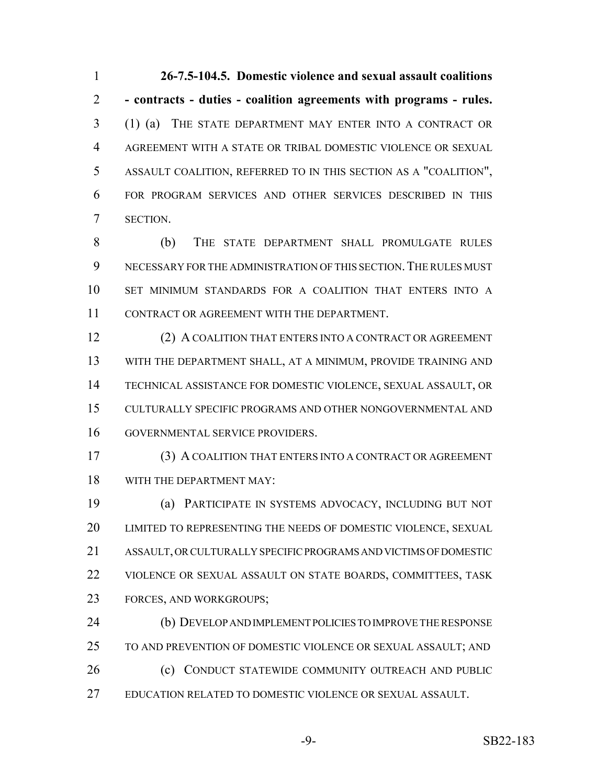**26-7.5-104.5. Domestic violence and sexual assault coalitions - contracts - duties - coalition agreements with programs - rules.** (1) (a) THE STATE DEPARTMENT MAY ENTER INTO A CONTRACT OR AGREEMENT WITH A STATE OR TRIBAL DOMESTIC VIOLENCE OR SEXUAL ASSAULT COALITION, REFERRED TO IN THIS SECTION AS A "COALITION", FOR PROGRAM SERVICES AND OTHER SERVICES DESCRIBED IN THIS SECTION.

 (b) THE STATE DEPARTMENT SHALL PROMULGATE RULES NECESSARY FOR THE ADMINISTRATION OF THIS SECTION.THE RULES MUST SET MINIMUM STANDARDS FOR A COALITION THAT ENTERS INTO A CONTRACT OR AGREEMENT WITH THE DEPARTMENT.

 (2) A COALITION THAT ENTERS INTO A CONTRACT OR AGREEMENT WITH THE DEPARTMENT SHALL, AT A MINIMUM, PROVIDE TRAINING AND TECHNICAL ASSISTANCE FOR DOMESTIC VIOLENCE, SEXUAL ASSAULT, OR CULTURALLY SPECIFIC PROGRAMS AND OTHER NONGOVERNMENTAL AND GOVERNMENTAL SERVICE PROVIDERS.

 (3) A COALITION THAT ENTERS INTO A CONTRACT OR AGREEMENT WITH THE DEPARTMENT MAY:

 (a) PARTICIPATE IN SYSTEMS ADVOCACY, INCLUDING BUT NOT LIMITED TO REPRESENTING THE NEEDS OF DOMESTIC VIOLENCE, SEXUAL ASSAULT, OR CULTURALLY SPECIFIC PROGRAMS AND VICTIMS OF DOMESTIC VIOLENCE OR SEXUAL ASSAULT ON STATE BOARDS, COMMITTEES, TASK FORCES, AND WORKGROUPS;

 (b) DEVELOP AND IMPLEMENT POLICIES TO IMPROVE THE RESPONSE TO AND PREVENTION OF DOMESTIC VIOLENCE OR SEXUAL ASSAULT; AND (c) CONDUCT STATEWIDE COMMUNITY OUTREACH AND PUBLIC EDUCATION RELATED TO DOMESTIC VIOLENCE OR SEXUAL ASSAULT.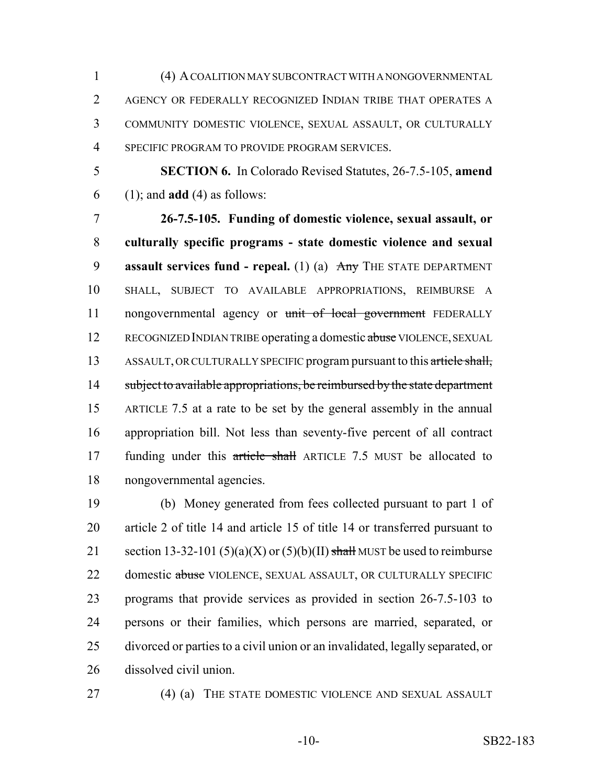(4) A COALITION MAY SUBCONTRACT WITH A NONGOVERNMENTAL 2 AGENCY OR FEDERALLY RECOGNIZED INDIAN TRIBE THAT OPERATES A COMMUNITY DOMESTIC VIOLENCE, SEXUAL ASSAULT, OR CULTURALLY SPECIFIC PROGRAM TO PROVIDE PROGRAM SERVICES.

 **SECTION 6.** In Colorado Revised Statutes, 26-7.5-105, **amend** (1); and **add** (4) as follows:

 **26-7.5-105. Funding of domestic violence, sexual assault, or culturally specific programs - state domestic violence and sexual assault services fund - repeal.** (1) (a) Any THE STATE DEPARTMENT SHALL, SUBJECT TO AVAILABLE APPROPRIATIONS, REIMBURSE A 11 nongovernmental agency or unit of local government FEDERALLY 12 RECOGNIZED INDIAN TRIBE operating a domestic abuse VIOLENCE, SEXUAL 13 ASSAULT, OR CULTURALLY SPECIFIC program pursuant to this article shall, 14 subject to available appropriations, be reimbursed by the state department ARTICLE 7.5 at a rate to be set by the general assembly in the annual appropriation bill. Not less than seventy-five percent of all contract 17 funding under this article shall ARTICLE 7.5 MUST be allocated to nongovernmental agencies.

 (b) Money generated from fees collected pursuant to part 1 of article 2 of title 14 and article 15 of title 14 or transferred pursuant to 21 section 13-32-101 (5)(a)(X) or (5)(b)(II) shall MUST be used to reimburse 22 domestic abuse VIOLENCE, SEXUAL ASSAULT, OR CULTURALLY SPECIFIC programs that provide services as provided in section 26-7.5-103 to persons or their families, which persons are married, separated, or divorced or parties to a civil union or an invalidated, legally separated, or dissolved civil union.

(4) (a) THE STATE DOMESTIC VIOLENCE AND SEXUAL ASSAULT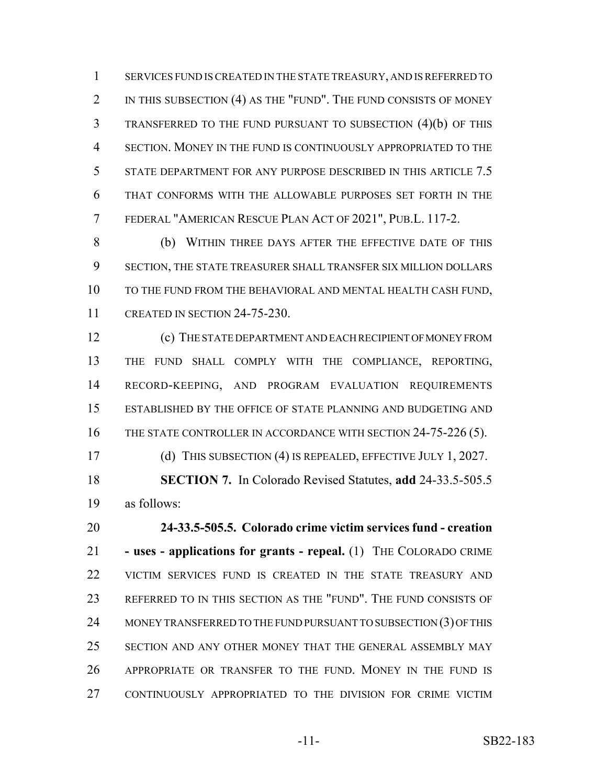SERVICES FUND IS CREATED IN THE STATE TREASURY, AND IS REFERRED TO 2 IN THIS SUBSECTION (4) AS THE "FUND". THE FUND CONSISTS OF MONEY TRANSFERRED TO THE FUND PURSUANT TO SUBSECTION (4)(b) OF THIS SECTION. MONEY IN THE FUND IS CONTINUOUSLY APPROPRIATED TO THE STATE DEPARTMENT FOR ANY PURPOSE DESCRIBED IN THIS ARTICLE 7.5 THAT CONFORMS WITH THE ALLOWABLE PURPOSES SET FORTH IN THE FEDERAL "AMERICAN RESCUE PLAN ACT OF 2021", PUB.L. 117-2.

 (b) WITHIN THREE DAYS AFTER THE EFFECTIVE DATE OF THIS SECTION, THE STATE TREASURER SHALL TRANSFER SIX MILLION DOLLARS TO THE FUND FROM THE BEHAVIORAL AND MENTAL HEALTH CASH FUND, 11 CREATED IN SECTION 24-75-230.

 (c) THE STATE DEPARTMENT AND EACH RECIPIENT OF MONEY FROM THE FUND SHALL COMPLY WITH THE COMPLIANCE, REPORTING, RECORD-KEEPING, AND PROGRAM EVALUATION REQUIREMENTS ESTABLISHED BY THE OFFICE OF STATE PLANNING AND BUDGETING AND 16 THE STATE CONTROLLER IN ACCORDANCE WITH SECTION 24-75-226 (5).

17 (d) THIS SUBSECTION (4) IS REPEALED, EFFECTIVE JULY 1, 2027. **SECTION 7.** In Colorado Revised Statutes, **add** 24-33.5-505.5 as follows:

 **24-33.5-505.5. Colorado crime victim services fund - creation - uses - applications for grants - repeal.** (1) THE COLORADO CRIME VICTIM SERVICES FUND IS CREATED IN THE STATE TREASURY AND REFERRED TO IN THIS SECTION AS THE "FUND". THE FUND CONSISTS OF 24 MONEY TRANSFERRED TO THE FUND PURSUANT TO SUBSECTION (3) OF THIS SECTION AND ANY OTHER MONEY THAT THE GENERAL ASSEMBLY MAY APPROPRIATE OR TRANSFER TO THE FUND. MONEY IN THE FUND IS CONTINUOUSLY APPROPRIATED TO THE DIVISION FOR CRIME VICTIM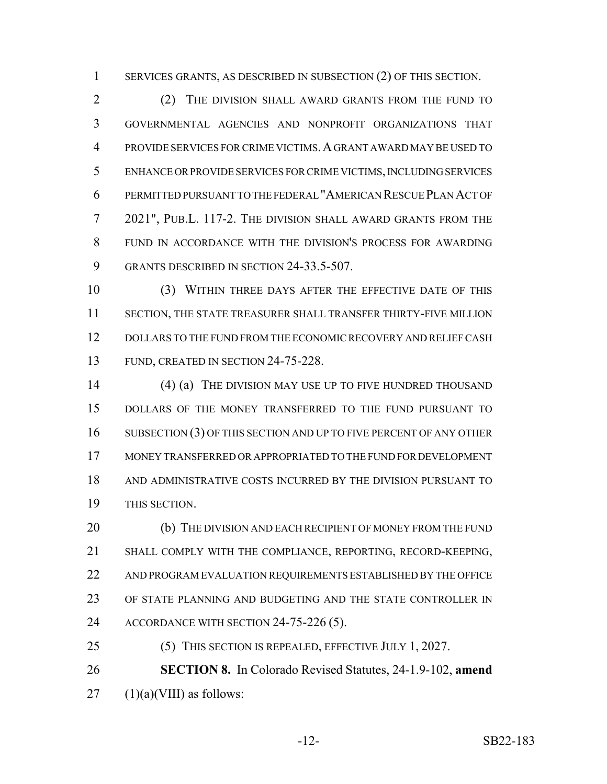SERVICES GRANTS, AS DESCRIBED IN SUBSECTION (2) OF THIS SECTION.

 (2) THE DIVISION SHALL AWARD GRANTS FROM THE FUND TO GOVERNMENTAL AGENCIES AND NONPROFIT ORGANIZATIONS THAT PROVIDE SERVICES FOR CRIME VICTIMS.A GRANT AWARD MAY BE USED TO ENHANCE OR PROVIDE SERVICES FOR CRIME VICTIMS, INCLUDING SERVICES PERMITTED PURSUANT TO THE FEDERAL "AMERICAN RESCUE PLAN ACT OF 2021", PUB.L. 117-2. THE DIVISION SHALL AWARD GRANTS FROM THE FUND IN ACCORDANCE WITH THE DIVISION'S PROCESS FOR AWARDING GRANTS DESCRIBED IN SECTION 24-33.5-507.

 (3) WITHIN THREE DAYS AFTER THE EFFECTIVE DATE OF THIS SECTION, THE STATE TREASURER SHALL TRANSFER THIRTY-FIVE MILLION DOLLARS TO THE FUND FROM THE ECONOMIC RECOVERY AND RELIEF CASH 13 FUND, CREATED IN SECTION 24-75-228.

14 (4) (a) THE DIVISION MAY USE UP TO FIVE HUNDRED THOUSAND DOLLARS OF THE MONEY TRANSFERRED TO THE FUND PURSUANT TO 16 SUBSECTION (3) OF THIS SECTION AND UP TO FIVE PERCENT OF ANY OTHER MONEY TRANSFERRED OR APPROPRIATED TO THE FUND FOR DEVELOPMENT AND ADMINISTRATIVE COSTS INCURRED BY THE DIVISION PURSUANT TO THIS SECTION.

20 (b) THE DIVISION AND EACH RECIPIENT OF MONEY FROM THE FUND SHALL COMPLY WITH THE COMPLIANCE, REPORTING, RECORD-KEEPING, AND PROGRAM EVALUATION REQUIREMENTS ESTABLISHED BY THE OFFICE OF STATE PLANNING AND BUDGETING AND THE STATE CONTROLLER IN 24 ACCORDANCE WITH SECTION 24-75-226 (5).

 **SECTION 8.** In Colorado Revised Statutes, 24-1.9-102, **amend**  $27 \quad (1)(a)(VIII)$  as follows:

(5) THIS SECTION IS REPEALED, EFFECTIVE JULY 1, 2027.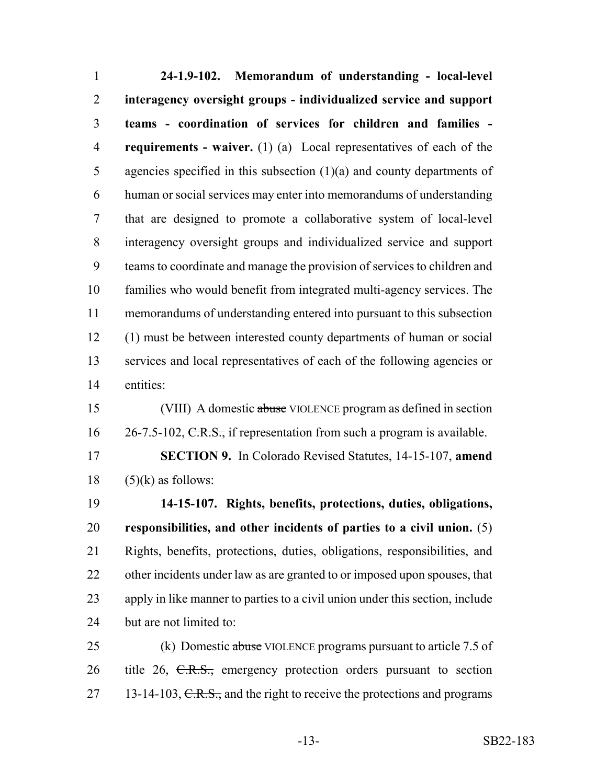**24-1.9-102. Memorandum of understanding - local-level interagency oversight groups - individualized service and support teams - coordination of services for children and families - requirements - waiver.** (1) (a) Local representatives of each of the agencies specified in this subsection (1)(a) and county departments of human or social services may enter into memorandums of understanding that are designed to promote a collaborative system of local-level interagency oversight groups and individualized service and support teams to coordinate and manage the provision of services to children and families who would benefit from integrated multi-agency services. The memorandums of understanding entered into pursuant to this subsection (1) must be between interested county departments of human or social services and local representatives of each of the following agencies or entities: (VIII) A domestic abuse VIOLENCE program as defined in section  $26-7.5-102$ , C.R.S., if representation from such a program is available. **SECTION 9.** In Colorado Revised Statutes, 14-15-107, **amend** (5)(k) as follows: **14-15-107. Rights, benefits, protections, duties, obligations, responsibilities, and other incidents of parties to a civil union.** (5) Rights, benefits, protections, duties, obligations, responsibilities, and

 apply in like manner to parties to a civil union under this section, include 24 but are not limited to:

22 other incidents under law as are granted to or imposed upon spouses, that

25 (k) Domestic abuse VIOLENCE programs pursuant to article 7.5 of 26 title 26, C.R.S., emergency protection orders pursuant to section 27 13-14-103,  $C.R.S.,$  and the right to receive the protections and programs